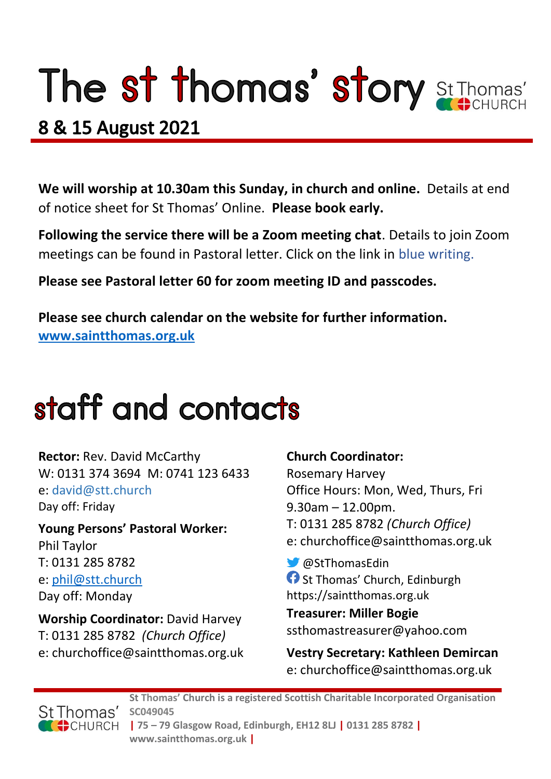# The st thomas' story St Thomas'

### 8 & 15 August 2021

**We will worship at 10.30am this Sunday, in church and online.** Details at end of notice sheet for St Thomas' Online. **Please book early.**

**Following the service there will be a Zoom meeting chat**. Details to join Zoom meetings can be found in Pastoral letter. Click on the link in blue writing.

**Please see Pastoral letter 60 for zoom meeting ID and passcodes.**

**Please see church calendar on the website for further information. [www.saintthomas.org.uk](http://www.saintthomas.org.uk/)**

## staff and contacts

**Rector:** Rev. David McCarthy W: 0131 374 3694 M: 0741 123 6433 e: david@stt.church Day off: Friday

**Young Persons' Pastoral Worker:** Phil Taylor T: 0131 285 8782 e: [phil@stt.church](mailto:phil@stt.church) Day off: Monday

**Worship Coordinator:** David Harvey T: 0131 285 8782 *(Church Office)* e: churchoffice@saintthomas.org.uk

#### **Church Coordinator:**

Rosemary Harvey Office Hours: Mon, Wed, Thurs, Fri 9.30am – 12.00pm. T: 0131 285 8782 *(Church Office)* e: churchoffice@saintthomas.org.uk

@StThomasEdin **St Thomas' Church, Edinburgh** https://saintthomas.org.uk

**Treasurer: Miller Bogie** ssthomastreasurer@yahoo.com

**Vestry Secretary: Kathleen Demircan**  e: churchoffice@saintthomas.org.uk



**St Thomas' Church is a registered Scottish Charitable Incorporated Organisation SC049045 | 75 – 79 Glasgow Road, Edinburgh, EH12 8LJ | 0131 285 8782 | www.saintthomas.org.uk |**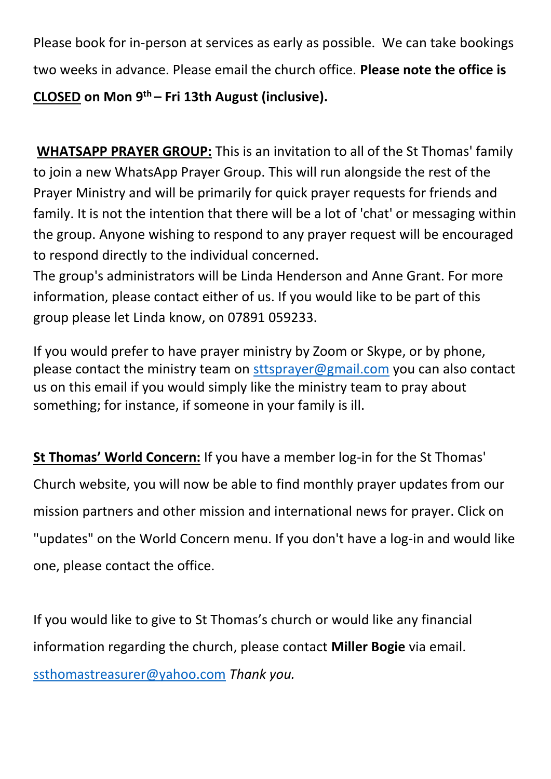Please book for in-person at services as early as possible. We can take bookings two weeks in advance. Please email the church office. **Please note the office is CLOSED on Mon 9th – Fri 13th August (inclusive).** 

**WHATSAPP PRAYER GROUP:** This is an invitation to all of the St Thomas' family to join a new WhatsApp Prayer Group. This will run alongside the rest of the Prayer Ministry and will be primarily for quick prayer requests for friends and family. It is not the intention that there will be a lot of 'chat' or messaging within the group. Anyone wishing to respond to any prayer request will be encouraged to respond directly to the individual concerned.

The group's administrators will be Linda Henderson and Anne Grant. For more information, please contact either of us. If you would like to be part of this group please let Linda know, on 07891 059233.

If you would prefer to have prayer ministry by Zoom or Skype, or by phone, please contact the ministry team on [sttsprayer@gmail.com](mailto:sttsprayer@gmail.com) you can also contact us on this email if you would simply like the ministry team to pray about something; for instance, if someone in your family is ill.

**St Thomas' World Concern:** If you have a member log-in for the St Thomas' Church website, you will now be able to find monthly prayer updates from our mission partners and other mission and international news for prayer. Click on "updates" on the World Concern menu. If you don't have a log-in and would like one, please contact the office.

If you would like to give to St Thomas's church or would like any financial information regarding the church, please contact **Miller Bogie** via email. [ssthomastreasurer@yahoo.com](mailto:ssthomastreasurer@yahoo.com) *Thank you.*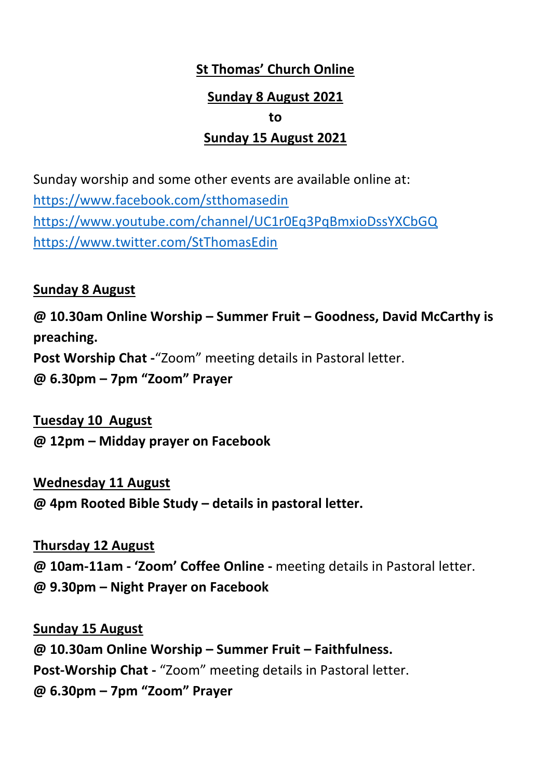### **St Thomas' Church Online Sunday 8 August 2021 to Sunday 15 August 2021**

Sunday worship and some other events are available online at: <https://www.facebook.com/stthomasedin> <https://www.youtube.com/channel/UC1r0Eq3PqBmxioDssYXCbGQ> <https://www.twitter.com/StThomasEdin>

#### **Sunday 8 August**

**@ 10.30am Online Worship – Summer Fruit – Goodness, David McCarthy is preaching. Post Worship Chat -**"Zoom" meeting details in Pastoral letter. **@ 6.30pm – 7pm "Zoom" Prayer** 

**Tuesday 10 August @ 12pm – Midday prayer on Facebook**

**Wednesday 11 August** 

**@ 4pm Rooted Bible Study – details in pastoral letter.**

**Thursday 12 August @ 10am-11am - 'Zoom' Coffee Online -** meeting details in Pastoral letter. **@ 9.30pm – Night Prayer on Facebook** 

**Sunday 15 August @ 10.30am Online Worship – Summer Fruit – Faithfulness. Post-Worship Chat -** "Zoom" meeting details in Pastoral letter. **@ 6.30pm – 7pm "Zoom" Prayer**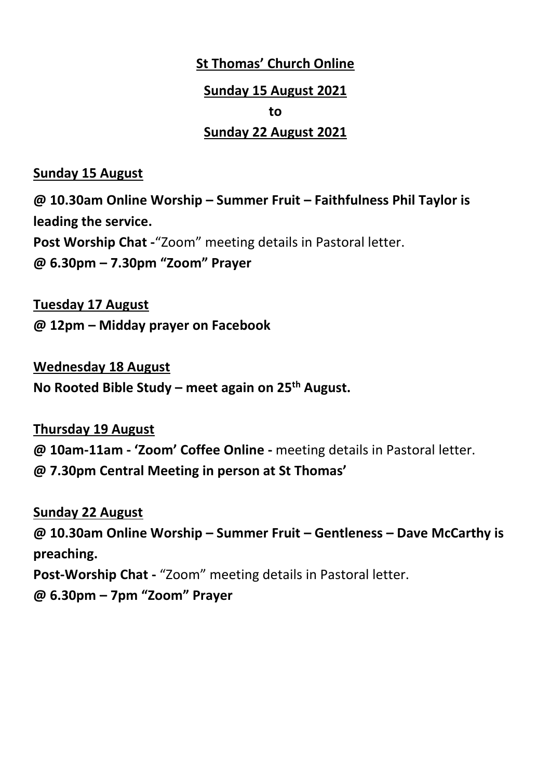#### **St Thomas' Church Online**

#### **Sunday 15 August 2021**

#### **to**

#### **Sunday 22 August 2021**

#### **Sunday 15 August**

**@ 10.30am Online Worship – Summer Fruit – Faithfulness Phil Taylor is leading the service. Post Worship Chat -**"Zoom" meeting details in Pastoral letter. **@ 6.30pm – 7.30pm "Zoom" Prayer** 

**Tuesday 17 August @ 12pm – Midday prayer on Facebook**

**Wednesday 18 August No Rooted Bible Study – meet again on 25th August.**

**Thursday 19 August @ 10am-11am - 'Zoom' Coffee Online -** meeting details in Pastoral letter. **@ 7.30pm Central Meeting in person at St Thomas'**

**Sunday 22 August @ 10.30am Online Worship – Summer Fruit – Gentleness – Dave McCarthy is preaching. Post-Worship Chat -** "Zoom" meeting details in Pastoral letter. **@ 6.30pm – 7pm "Zoom" Prayer**